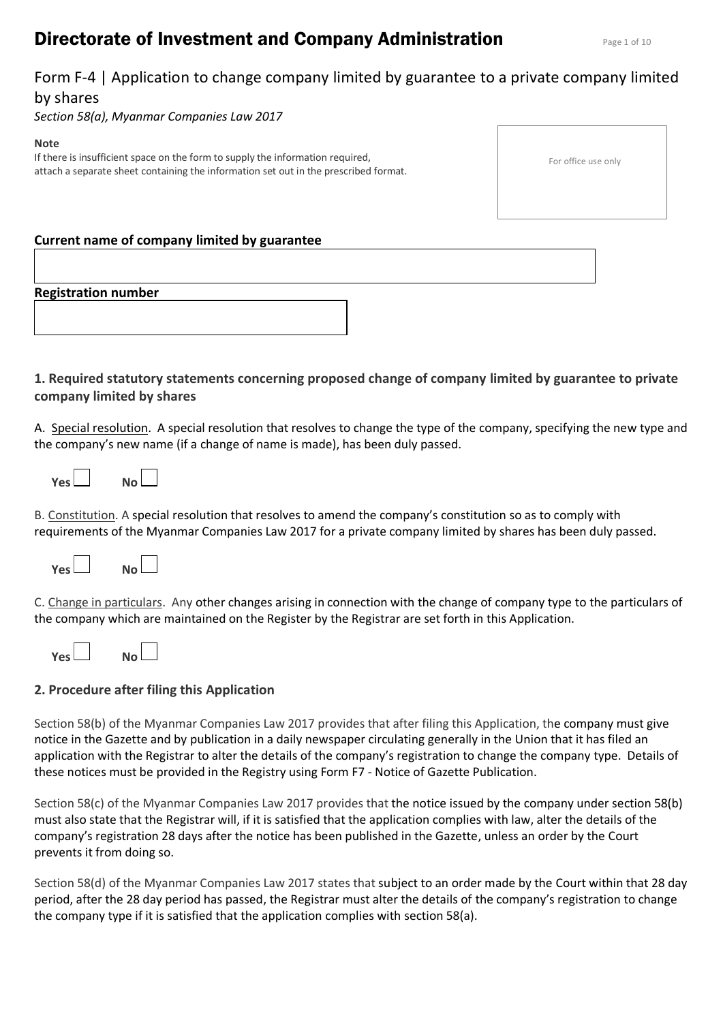# **Directorate of Investment and Company Administration** Page 1 of 10

# Form F-4 | Application to change company limited by guarantee to a private company limited by shares

*Section 58(a), Myanmar Companies Law 2017*

### **Note**

If there is insufficient space on the form to supply the information required, attach a separate sheet containing the information set out in the prescribed format.

| For office use only |  |  |
|---------------------|--|--|
|---------------------|--|--|

# **Current name of company limited by guarantee**

# **Registration number**

# **1. Required statutory statements concerning proposed change of company limited by guarantee to private company limited by shares**

A. Special resolution. A special resolution that resolves to change the type of the company, specifying the new type and the company's new name (if a change of name is made), has been duly passed.

| Yes l<br>No L |  |
|---------------|--|
|---------------|--|

B. Constitution. A special resolution that resolves to amend the company's constitution so as to comply with requirements of the Myanmar Companies Law 2017 for a private company limited by shares has been duly passed.



C. Change in particulars. Any other changes arising in connection with the change of company type to the particulars of the company which are maintained on the Register by the Registrar are set forth in this Application.

| <b>Yes</b> |  | No l |  |
|------------|--|------|--|
|            |  |      |  |

# **2. Procedure after filing this Application**

Section 58(b) of the Myanmar Companies Law 2017 provides that after filing this Application, the company must give notice in the Gazette and by publication in a daily newspaper circulating generally in the Union that it has filed an application with the Registrar to alter the details of the company's registration to change the company type. Details of these notices must be provided in the Registry using Form F7 - Notice of Gazette Publication.

Section 58(c) of the Myanmar Companies Law 2017 provides that the notice issued by the company under section 58(b) must also state that the Registrar will, if it is satisfied that the application complies with law, alter the details of the company's registration 28 days after the notice has been published in the Gazette, unless an order by the Court prevents it from doing so.

Section 58(d) of the Myanmar Companies Law 2017 states that subject to an order made by the Court within that 28 day period, after the 28 day period has passed, the Registrar must alter the details of the company's registration to change the company type if it is satisfied that the application complies with section 58(a).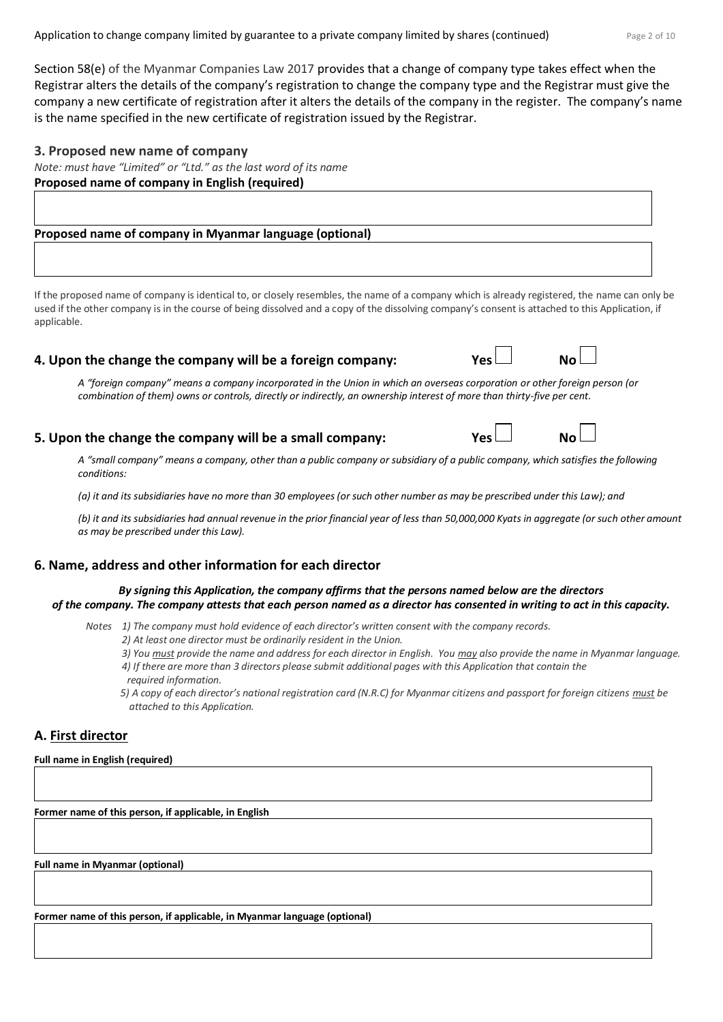Section 58(e) of the Myanmar Companies Law 2017 provides that a change of company type takes effect when the Registrar alters the details of the company's registration to change the company type and the Registrar must give the company a new certificate of registration after it alters the details of the company in the register. The company's name is the name specified in the new certificate of registration issued by the Registrar.

### **3. Proposed new name of company**

*Note: must have "Limited" or "Ltd." as the last word of its name* **Proposed name of company in English (required)** 

**Proposed name of company in Myanmar language (optional)** 

If the proposed name of company is identical to, or closely resembles, the name of a company which is already registered, the name can only be used if the other company is in the course of being dissolved and a copy of the dissolving company's consent is attached to this Application, if applicable.

# **4. Upon the change the company will be a foreign company:** Yes

*A "foreign company" means a company incorporated in the Union in which an overseas corporation or other foreign person (or combination of them) owns or controls, directly or indirectly, an ownership interest of more than thirty-five per cent.*

# **5. Upon the change the company will be a small company:**  $Yes \Box$  **No**  $\Box$

*A "small company" means a company, other than a public company or subsidiary of a public company, which satisfies the following conditions:* 

*(a) it and its subsidiaries have no more than 30 employees (or such other number as may be prescribed under this Law); and*

*(b) it and its subsidiaries had annual revenue in the prior financial year of less than 50,000,000 Kyats in aggregate (or such other amount as may be prescribed under this Law).*

# **6. Name, address and other information for each director**

*By signing this Application, the company affirms that the persons named below are the directors of the company. The company attests that each person named as a director has consented in writing to act in this capacity.*

- *Notes 1) The company must hold evidence of each director's written consent with the company records.*
	- *2) At least one director must be ordinarily resident in the Union.*
	- *3) You must provide the name and address for each director in English. You may also provide the name in Myanmar language. 4) If there are more than 3 directors please submit additional pages with this Application that contain the*
	- *required information.*
	- *5) A copy of each director's national registration card (N.R.C) for Myanmar citizens and passport for foreign citizens <i>must* be *attached to this Application.*

# **A. First director**

**Full name in English (required)**

**Former name of this person, if applicable, in English** 

**Full name in Myanmar (optional)**

**Former name of this person, if applicable, in Myanmar language (optional)**



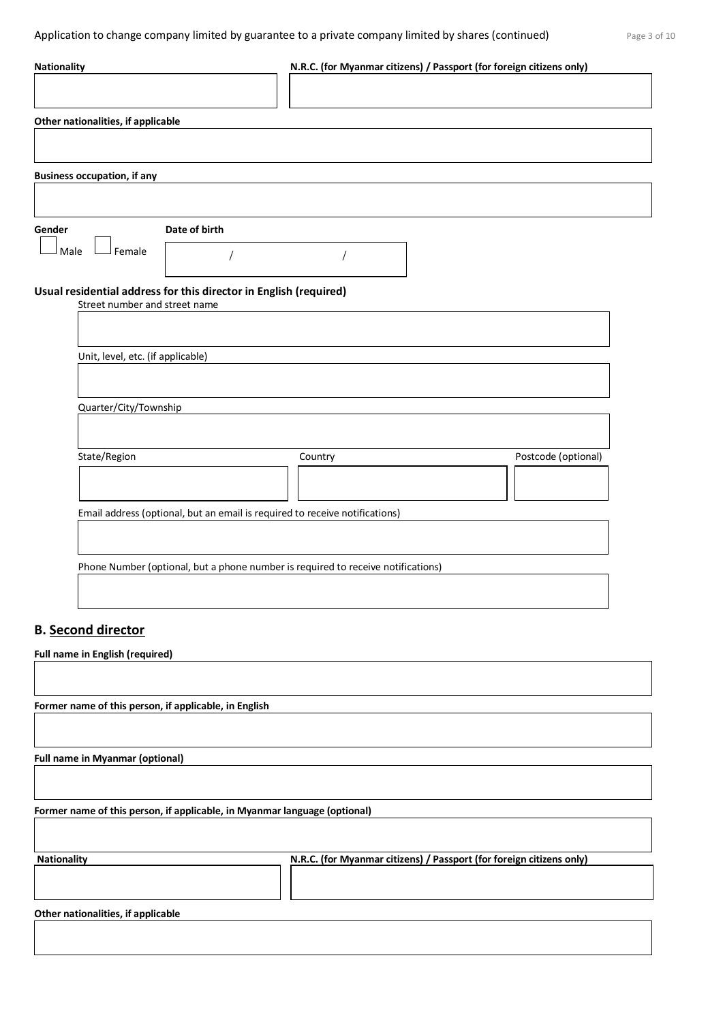| <b>Nationality</b>                                                                                 | N.R.C. (for Myanmar citizens) / Passport (for foreign citizens only) |                     |
|----------------------------------------------------------------------------------------------------|----------------------------------------------------------------------|---------------------|
|                                                                                                    |                                                                      |                     |
| Other nationalities, if applicable                                                                 |                                                                      |                     |
|                                                                                                    |                                                                      |                     |
| <b>Business occupation, if any</b>                                                                 |                                                                      |                     |
|                                                                                                    |                                                                      |                     |
| Date of birth<br>Gender                                                                            |                                                                      |                     |
| Male<br>Female                                                                                     |                                                                      |                     |
| Usual residential address for this director in English (required)<br>Street number and street name |                                                                      |                     |
|                                                                                                    |                                                                      |                     |
| Unit, level, etc. (if applicable)                                                                  |                                                                      |                     |
|                                                                                                    |                                                                      |                     |
| Quarter/City/Township                                                                              |                                                                      |                     |
|                                                                                                    |                                                                      |                     |
| State/Region                                                                                       | Country                                                              | Postcode (optional) |
|                                                                                                    |                                                                      |                     |
| Email address (optional, but an email is required to receive notifications)                        |                                                                      |                     |
|                                                                                                    |                                                                      |                     |
| Phone Number (optional, but a phone number is required to receive notifications)                   |                                                                      |                     |
|                                                                                                    |                                                                      |                     |
| <b>B.</b> Second director                                                                          |                                                                      |                     |
| <b>Full name in English (required)</b>                                                             |                                                                      |                     |
|                                                                                                    |                                                                      |                     |
| Former name of this person, if applicable, in English                                              |                                                                      |                     |
|                                                                                                    |                                                                      |                     |
| <b>Full name in Myanmar (optional)</b>                                                             |                                                                      |                     |
|                                                                                                    |                                                                      |                     |
| Former name of this person, if applicable, in Myanmar language (optional)                          |                                                                      |                     |
|                                                                                                    |                                                                      |                     |
| <b>Nationality</b>                                                                                 | N.R.C. (for Myanmar citizens) / Passport (for foreign citizens only) |                     |
|                                                                                                    |                                                                      |                     |
| Other nationalities, if applicable                                                                 |                                                                      |                     |
|                                                                                                    |                                                                      |                     |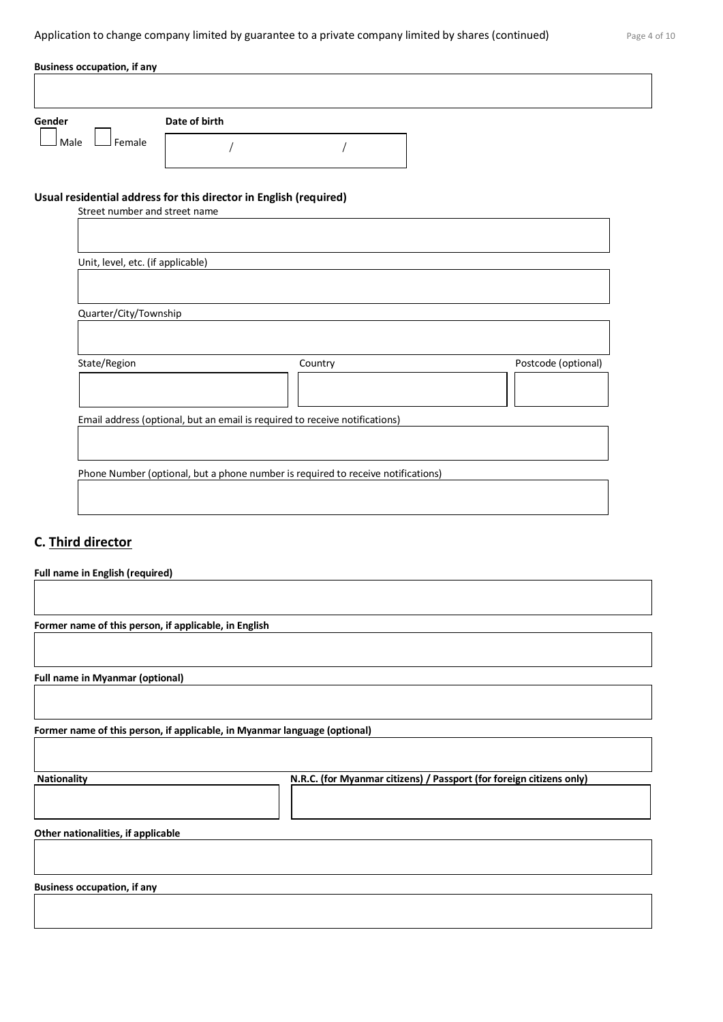| Page 4 of 10 |  |  |  |
|--------------|--|--|--|
|--------------|--|--|--|

| Female<br>Male<br>Usual residential address for this director in English (required)<br>Street number and street name<br>Unit, level, etc. (if applicable)<br>Quarter/City/Township<br>State/Region<br>Country | Date of birth |                     |
|---------------------------------------------------------------------------------------------------------------------------------------------------------------------------------------------------------------|---------------|---------------------|
|                                                                                                                                                                                                               |               |                     |
|                                                                                                                                                                                                               |               |                     |
|                                                                                                                                                                                                               |               |                     |
|                                                                                                                                                                                                               |               |                     |
|                                                                                                                                                                                                               |               |                     |
|                                                                                                                                                                                                               |               | Postcode (optional) |
|                                                                                                                                                                                                               |               |                     |
| Email address (optional, but an email is required to receive notifications)                                                                                                                                   |               |                     |

# **C. Third director**

| Full name in English (required)                                           |                                                                      |
|---------------------------------------------------------------------------|----------------------------------------------------------------------|
|                                                                           |                                                                      |
|                                                                           |                                                                      |
| Former name of this person, if applicable, in English                     |                                                                      |
|                                                                           |                                                                      |
|                                                                           |                                                                      |
| <b>Full name in Myanmar (optional)</b>                                    |                                                                      |
|                                                                           |                                                                      |
|                                                                           |                                                                      |
| Former name of this person, if applicable, in Myanmar language (optional) |                                                                      |
|                                                                           |                                                                      |
|                                                                           |                                                                      |
| <b>Nationality</b>                                                        | N.R.C. (for Myanmar citizens) / Passport (for foreign citizens only) |
|                                                                           |                                                                      |
|                                                                           |                                                                      |
| Other nationalities, if applicable                                        |                                                                      |
|                                                                           |                                                                      |
|                                                                           |                                                                      |
| <b>Business occupation, if any</b>                                        |                                                                      |
|                                                                           |                                                                      |
|                                                                           |                                                                      |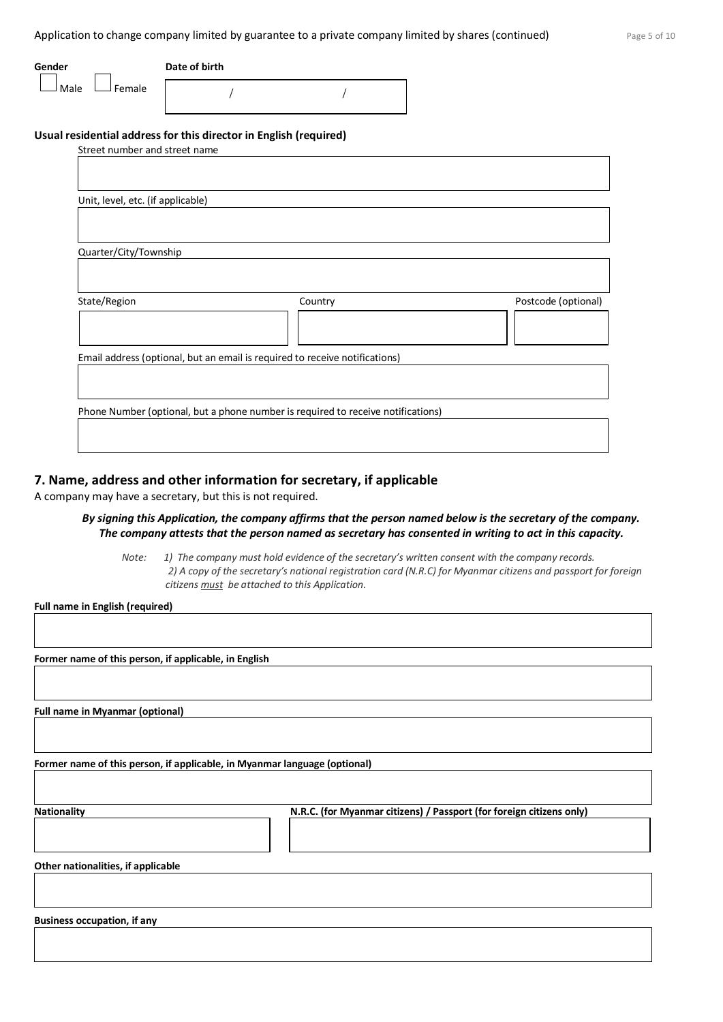Application to change company limited by guarantee to a private company limited by shares (continued) Page 5 of 10

| Gender |          | Date of birth |  |
|--------|----------|---------------|--|
| l Male | J Female |               |  |

### **Usual residential address for this director in English (required)**

| Street number and street name     |                                                                                  |                     |
|-----------------------------------|----------------------------------------------------------------------------------|---------------------|
|                                   |                                                                                  |                     |
|                                   |                                                                                  |                     |
| Unit, level, etc. (if applicable) |                                                                                  |                     |
|                                   |                                                                                  |                     |
|                                   |                                                                                  |                     |
| Quarter/City/Township             |                                                                                  |                     |
|                                   |                                                                                  |                     |
|                                   |                                                                                  |                     |
| State/Region                      | Country                                                                          | Postcode (optional) |
|                                   |                                                                                  |                     |
|                                   |                                                                                  |                     |
|                                   | Email address (optional, but an email is required to receive notifications)      |                     |
|                                   |                                                                                  |                     |
|                                   |                                                                                  |                     |
|                                   | Phone Number (optional, but a phone number is required to receive notifications) |                     |
|                                   |                                                                                  |                     |
|                                   |                                                                                  |                     |
|                                   |                                                                                  |                     |

## **7. Name, address and other information for secretary, if applicable**

A company may have a secretary, but this is not required.

### *By signing this Application, the company affirms that the person named below is the secretary of the company. The company attests that the person named as secretary has consented in writing to act in this capacity.*

*Note: 1) The company must hold evidence of the secretary's written consent with the company records. 2) A copy of the secretary's national registration card (N.R.C) for Myanmar citizens and passport for foreign citizens must be attached to this Application.*

**Full name in English (required)**

**Former name of this person, if applicable, in English**

**Full name in Myanmar (optional)**

**Former name of this person, if applicable, in Myanmar language (optional)**

**Nationality N.R.C. (for Myanmar citizens) / Passport (for foreign citizens only)**

**Other nationalities, if applicable**

**Business occupation, if any**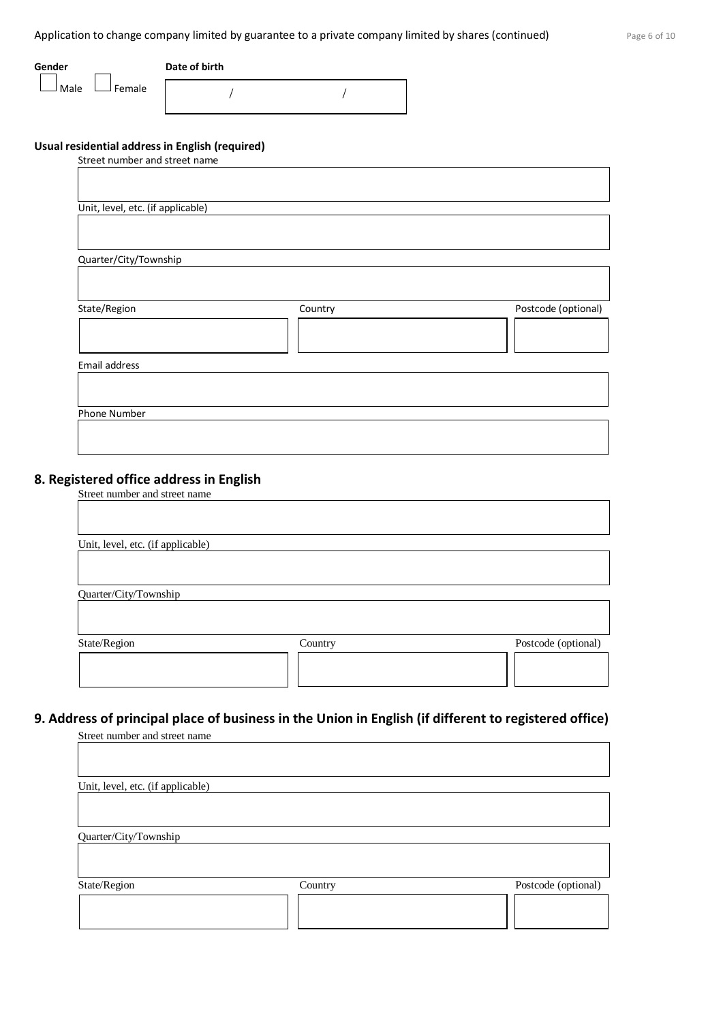Application to change company limited by guarantee to a private company limited by shares (continued) Page 6 of 10

| Gender |                           | Date of birth |
|--------|---------------------------|---------------|
|        | $\Box$ Male $\Box$ Female |               |

/ /

## **Usual residential address in English (required)**

| Street number and street name     |         |                     |
|-----------------------------------|---------|---------------------|
|                                   |         |                     |
|                                   |         |                     |
|                                   |         |                     |
| Unit, level, etc. (if applicable) |         |                     |
|                                   |         |                     |
|                                   |         |                     |
| Quarter/City/Township             |         |                     |
|                                   |         |                     |
|                                   |         |                     |
|                                   |         |                     |
| State/Region                      | Country | Postcode (optional) |
|                                   |         |                     |
|                                   |         |                     |
|                                   |         |                     |
| Email address                     |         |                     |
|                                   |         |                     |
|                                   |         |                     |
| Phone Number                      |         |                     |
|                                   |         |                     |
|                                   |         |                     |

# **8. Registered office address in English**

| Street number and street name |  |
|-------------------------------|--|
|                               |  |

| Unit, level, etc. (if applicable) |         |                     |
|-----------------------------------|---------|---------------------|
|                                   |         |                     |
|                                   |         |                     |
| Quarter/City/Township             |         |                     |
|                                   |         |                     |
| State/Region                      | Country | Postcode (optional) |
|                                   |         |                     |
|                                   |         |                     |

# **9. Address of principal place of business in the Union in English (if different to registered office)**

Street number and street name

| Unit, level, etc. (if applicable) |         |                     |
|-----------------------------------|---------|---------------------|
|                                   |         |                     |
| Quarter/City/Township             |         |                     |
| State/Region                      | Country | Postcode (optional) |
|                                   |         |                     |
|                                   |         |                     |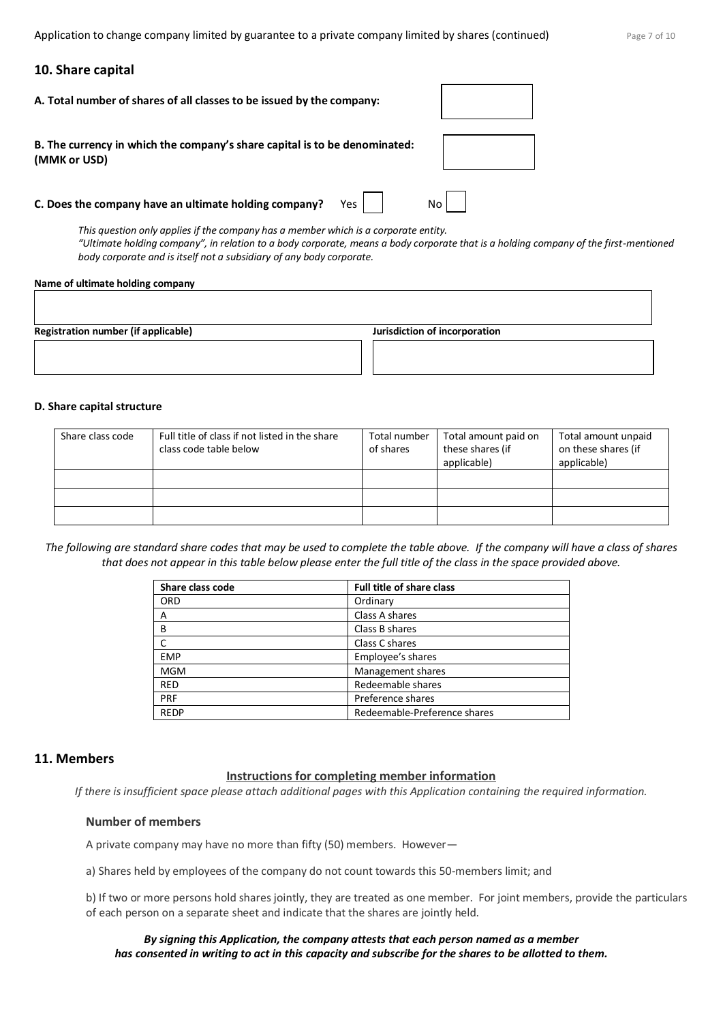Application to change company limited by guarantee to a private company limited by shares (continued)  $P_{\text{age}}$  7 of 10

### **10. Share capital**

| A. Total number of shares of all classes to be issued by the company:                      |     |    |
|--------------------------------------------------------------------------------------------|-----|----|
| B. The currency in which the company's share capital is to be denominated:<br>(MMK or USD) |     |    |
| C. Does the company have an ultimate holding company?                                      | Yes | No |

*This question only applies if the company has a member which is a corporate entity. "Ultimate holding company", in relation to a body corporate, means a body corporate that is a holding company of the first-mentioned body corporate and is itself not a subsidiary of any body corporate.*

#### **Name of ultimate holding company**

**Registration number (if applicable) Jurisdiction of incorporation**

#### **D. Share capital structure**

| Share class code | Full title of class if not listed in the share<br>class code table below | Total number<br>of shares | Total amount paid on<br>these shares (if<br>applicable) | Total amount unpaid<br>on these shares (if<br>applicable) |
|------------------|--------------------------------------------------------------------------|---------------------------|---------------------------------------------------------|-----------------------------------------------------------|
|                  |                                                                          |                           |                                                         |                                                           |
|                  |                                                                          |                           |                                                         |                                                           |
|                  |                                                                          |                           |                                                         |                                                           |

*The following are standard share codes that may be used to complete the table above. If the company will have a class of shares that does not appear in this table below please enter the full title of the class in the space provided above.*

| Share class code | <b>Full title of share class</b> |
|------------------|----------------------------------|
| <b>ORD</b>       | Ordinary                         |
| Α                | Class A shares                   |
| B                | Class B shares                   |
|                  | Class C shares                   |
| <b>EMP</b>       | Employee's shares                |
| <b>MGM</b>       | Management shares                |
| <b>RED</b>       | Redeemable shares                |
| PRF              | Preference shares                |
| <b>REDP</b>      | Redeemable-Preference shares     |

### **11. Members**

### **Instructions for completing member information**

*If there is insufficient space please attach additional pages with this Application containing the required information.*

### **Number of members**

A private company may have no more than fifty (50) members. However—

a) Shares held by employees of the company do not count towards this 50-members limit; and

b) If two or more persons hold shares jointly, they are treated as one member. For joint members, provide the particulars of each person on a separate sheet and indicate that the shares are jointly held.

### *By signing this Application, the company attests that each person named as a member has consented in writing to act in this capacity and subscribe for the shares to be allotted to them.*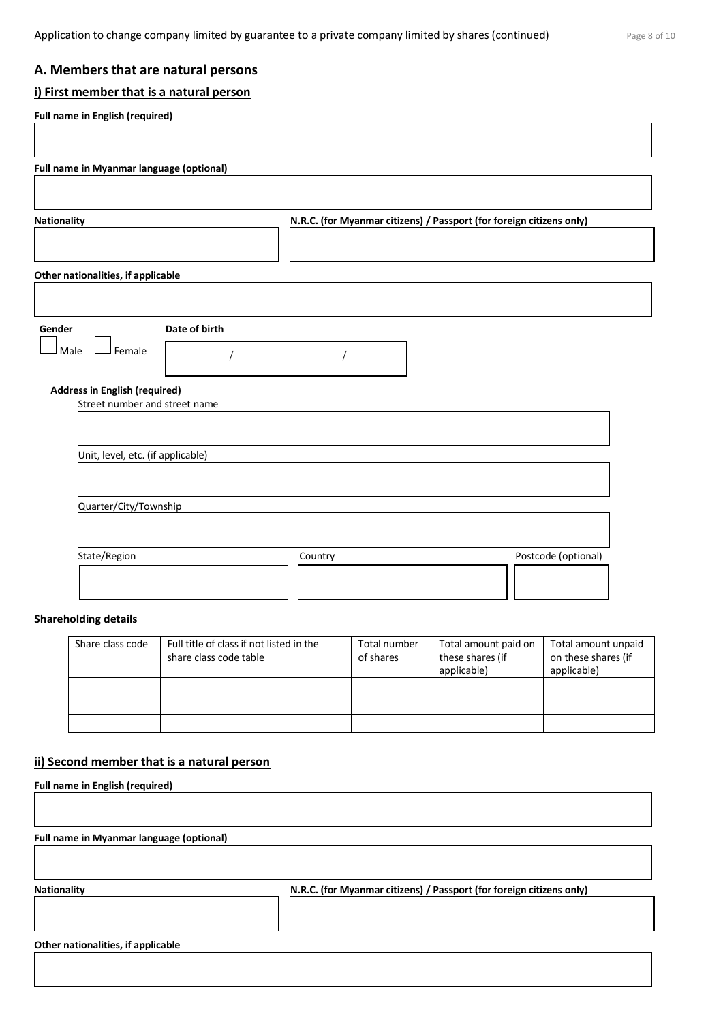# **A. Members that are natural persons**

# **i) First member that is a natural person**

| <b>Nationality</b>                                                    | N.R.C. (for Myanmar citizens) / Passport (for foreign citizens only) |  |
|-----------------------------------------------------------------------|----------------------------------------------------------------------|--|
|                                                                       |                                                                      |  |
| Other nationalities, if applicable                                    |                                                                      |  |
|                                                                       |                                                                      |  |
| Date of birth<br>Gender                                               |                                                                      |  |
| J Female<br>Male                                                      |                                                                      |  |
| <b>Address in English (required)</b><br>Street number and street name |                                                                      |  |
|                                                                       |                                                                      |  |
| Unit, level, etc. (if applicable)                                     |                                                                      |  |
|                                                                       |                                                                      |  |
| Quarter/City/Township                                                 |                                                                      |  |

# **Shareholding details**

| Share class code | Full title of class if not listed in the<br>share class code table | Total number<br>of shares | Total amount paid on<br>these shares (if<br>applicable) | Total amount unpaid<br>on these shares (if<br>applicable) |
|------------------|--------------------------------------------------------------------|---------------------------|---------------------------------------------------------|-----------------------------------------------------------|
|                  |                                                                    |                           |                                                         |                                                           |
|                  |                                                                    |                           |                                                         |                                                           |
|                  |                                                                    |                           |                                                         |                                                           |

## **ii) Second member that is a natural person**

| <b>Full name in English (required)</b>   |                                                                      |
|------------------------------------------|----------------------------------------------------------------------|
| Full name in Myanmar language (optional) |                                                                      |
|                                          |                                                                      |
| <b>Nationality</b>                       | N.R.C. (for Myanmar citizens) / Passport (for foreign citizens only) |
|                                          |                                                                      |
| Other nationalities, if applicable       |                                                                      |
|                                          |                                                                      |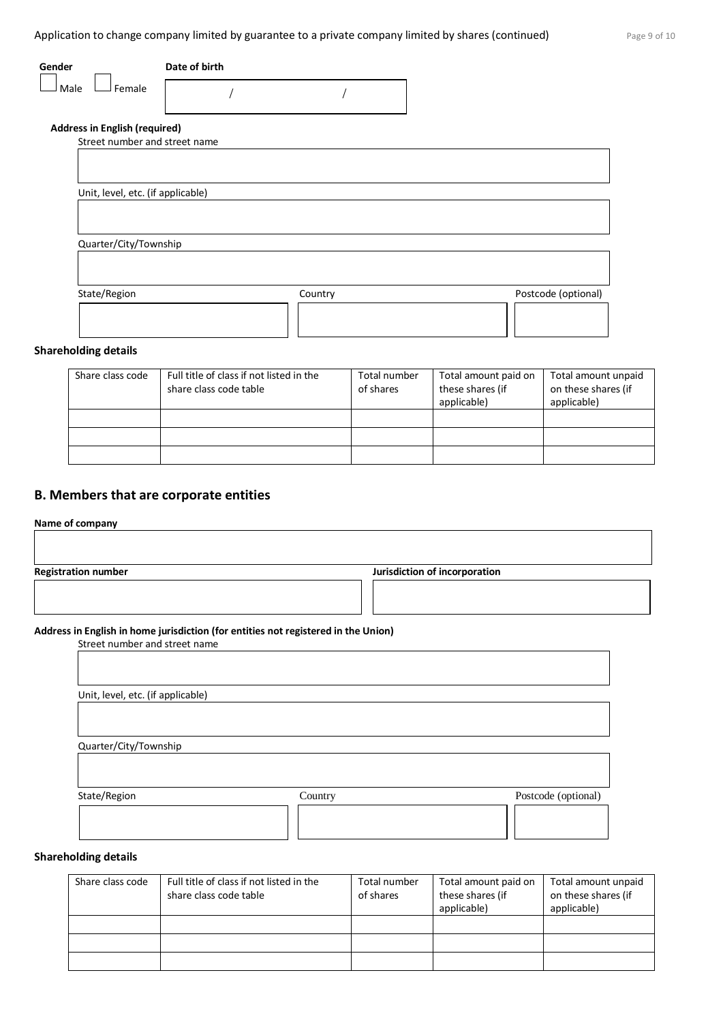| Gender                               | Date of birth |         |                     |
|--------------------------------------|---------------|---------|---------------------|
| Female<br>Male                       |               |         |                     |
| <b>Address in English (required)</b> |               |         |                     |
| Street number and street name        |               |         |                     |
|                                      |               |         |                     |
|                                      |               |         |                     |
| Unit, level, etc. (if applicable)    |               |         |                     |
|                                      |               |         |                     |
|                                      |               |         |                     |
| Quarter/City/Township                |               |         |                     |
|                                      |               |         |                     |
|                                      |               |         |                     |
| State/Region                         |               | Country | Postcode (optional) |
|                                      |               |         |                     |
|                                      |               |         |                     |
|                                      |               |         |                     |

### **Shareholding details**

| Share class code | Full title of class if not listed in the<br>share class code table | Total number<br>of shares | Total amount paid on<br>these shares (if<br>applicable) | Total amount unpaid<br>on these shares (if<br>applicable) |
|------------------|--------------------------------------------------------------------|---------------------------|---------------------------------------------------------|-----------------------------------------------------------|
|                  |                                                                    |                           |                                                         |                                                           |
|                  |                                                                    |                           |                                                         |                                                           |
|                  |                                                                    |                           |                                                         |                                                           |

### **B. Members that are corporate entities**

### **Name of company**

| <b>Registration number</b>                                                                                          | Jurisdiction of incorporation |
|---------------------------------------------------------------------------------------------------------------------|-------------------------------|
|                                                                                                                     |                               |
| Address in English in home jurisdiction (for entities not registered in the Union)<br>Street number and street name |                               |
|                                                                                                                     |                               |
|                                                                                                                     |                               |
|                                                                                                                     |                               |
| Unit, level, etc. (if applicable)                                                                                   |                               |

| State/Region | Country | Postcode (optional) |
|--------------|---------|---------------------|
|              |         |                     |
|              |         |                     |

# **Shareholding details**

| Share class code | Full title of class if not listed in the<br>share class code table | Total number<br>of shares | Total amount paid on<br>these shares (if<br>applicable) | Total amount unpaid<br>on these shares (if<br>applicable) |
|------------------|--------------------------------------------------------------------|---------------------------|---------------------------------------------------------|-----------------------------------------------------------|
|                  |                                                                    |                           |                                                         |                                                           |
|                  |                                                                    |                           |                                                         |                                                           |
|                  |                                                                    |                           |                                                         |                                                           |